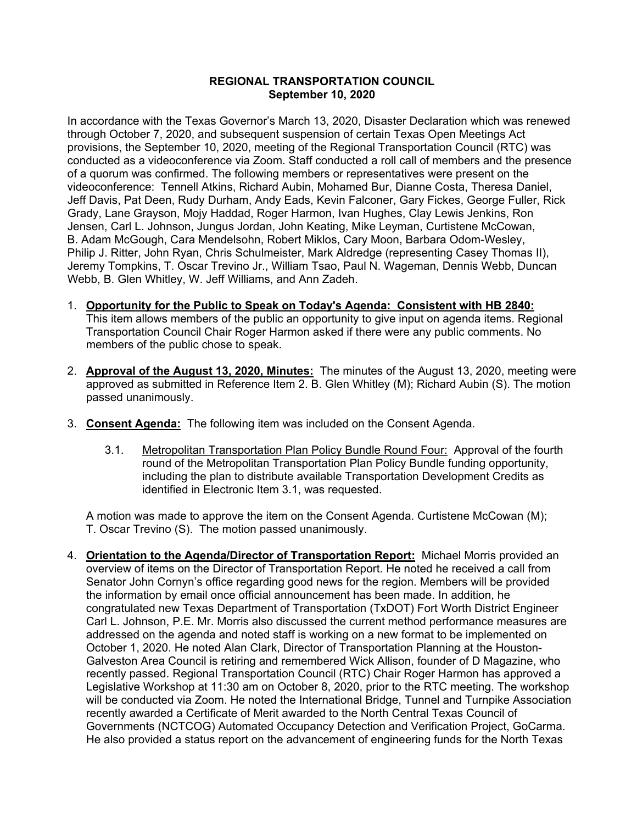## **REGIONAL TRANSPORTATION COUNCIL September 10, 2020**

In accordance with the Texas Governor's March 13, 2020, Disaster Declaration which was renewed through October 7, 2020, and subsequent suspension of certain Texas Open Meetings Act provisions, the September 10, 2020, meeting of the Regional Transportation Council (RTC) was conducted as a videoconference via Zoom. Staff conducted a roll call of members and the presence of a quorum was confirmed. The following members or representatives were present on the videoconference: Tennell Atkins, Richard Aubin, Mohamed Bur, Dianne Costa, Theresa Daniel, Jeff Davis, Pat Deen, Rudy Durham, Andy Eads, Kevin Falconer, Gary Fickes, George Fuller, Rick Grady, Lane Grayson, Mojy Haddad, Roger Harmon, Ivan Hughes, Clay Lewis Jenkins, Ron Jensen, Carl L. Johnson, Jungus Jordan, John Keating, Mike Leyman, Curtistene McCowan, B. Adam McGough, Cara Mendelsohn, Robert Miklos, Cary Moon, Barbara Odom-Wesley, Philip J. Ritter, John Ryan, Chris Schulmeister, Mark Aldredge (representing Casey Thomas II), Jeremy Tompkins, T. Oscar Trevino Jr., William Tsao, Paul N. Wageman, Dennis Webb, Duncan Webb, B. Glen Whitley, W. Jeff Williams, and Ann Zadeh.

- 1. **Opportunity for the Public to Speak on Today's Agenda: Consistent with HB 2840:** This item allows members of the public an opportunity to give input on agenda items. Regional Transportation Council Chair Roger Harmon asked if there were any public comments. No members of the public chose to speak.
- 2. **Approval of the August 13, 2020, Minutes:** The minutes of the August 13, 2020, meeting were approved as submitted in Reference Item 2. B. Glen Whitley (M); Richard Aubin (S). The motion passed unanimously.
- 3. **Consent Agenda:** The following item was included on the Consent Agenda.
	- 3.1. Metropolitan Transportation Plan Policy Bundle Round Four: Approval of the fourth round of the Metropolitan Transportation Plan Policy Bundle funding opportunity, including the plan to distribute available Transportation Development Credits as identified in Electronic Item 3.1, was requested.

A motion was made to approve the item on the Consent Agenda. Curtistene McCowan (M); T. Oscar Trevino (S). The motion passed unanimously.

4. **Orientation to the Agenda/Director of Transportation Report:** Michael Morris provided an overview of items on the Director of Transportation Report. He noted he received a call from Senator John Cornyn's office regarding good news for the region. Members will be provided the information by email once official announcement has been made. In addition, he congratulated new Texas Department of Transportation (TxDOT) Fort Worth District Engineer Carl L. Johnson, P.E. Mr. Morris also discussed the current method performance measures are addressed on the agenda and noted staff is working on a new format to be implemented on October 1, 2020. He noted Alan Clark, Director of Transportation Planning at the Houston-Galveston Area Council is retiring and remembered Wick Allison, founder of D Magazine, who recently passed. Regional Transportation Council (RTC) Chair Roger Harmon has approved a Legislative Workshop at 11:30 am on October 8, 2020, prior to the RTC meeting. The workshop will be conducted via Zoom. He noted the International Bridge, Tunnel and Turnpike Association recently awarded a Certificate of Merit awarded to the North Central Texas Council of Governments (NCTCOG) Automated Occupancy Detection and Verification Project, GoCarma. He also provided a status report on the advancement of engineering funds for the North Texas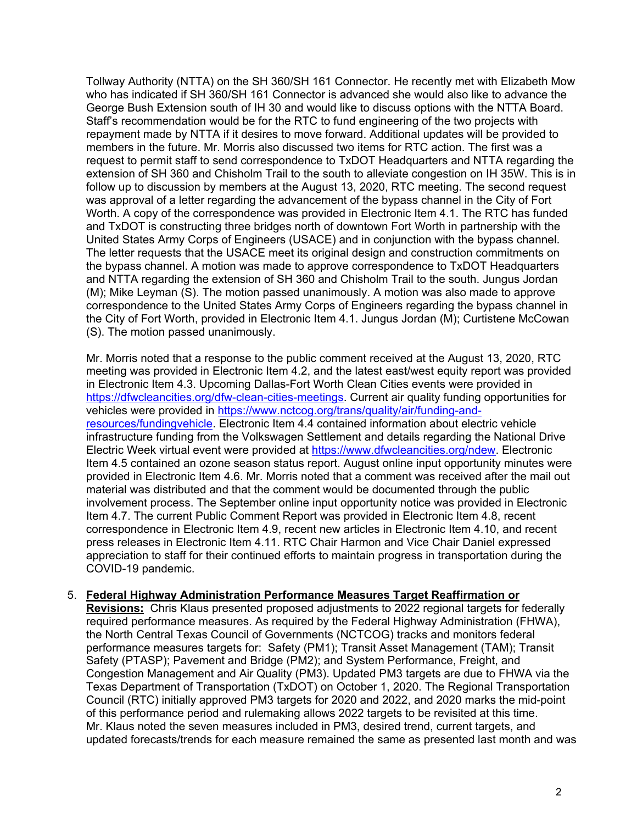Tollway Authority (NTTA) on the SH 360/SH 161 Connector. He recently met with Elizabeth Mow who has indicated if SH 360/SH 161 Connector is advanced she would also like to advance the George Bush Extension south of IH 30 and would like to discuss options with the NTTA Board. Staff's recommendation would be for the RTC to fund engineering of the two projects with repayment made by NTTA if it desires to move forward. Additional updates will be provided to members in the future. Mr. Morris also discussed two items for RTC action. The first was a request to permit staff to send correspondence to TxDOT Headquarters and NTTA regarding the extension of SH 360 and Chisholm Trail to the south to alleviate congestion on IH 35W. This is in follow up to discussion by members at the August 13, 2020, RTC meeting. The second request was approval of a letter regarding the advancement of the bypass channel in the City of Fort Worth. A copy of the correspondence was provided in Electronic Item 4.1. The RTC has funded and TxDOT is constructing three bridges north of downtown Fort Worth in partnership with the United States Army Corps of Engineers (USACE) and in conjunction with the bypass channel. The letter requests that the USACE meet its original design and construction commitments on the bypass channel. A motion was made to approve correspondence to TxDOT Headquarters and NTTA regarding the extension of SH 360 and Chisholm Trail to the south. Jungus Jordan (M); Mike Leyman (S). The motion passed unanimously. A motion was also made to approve correspondence to the United States Army Corps of Engineers regarding the bypass channel in the City of Fort Worth, provided in Electronic Item 4.1. Jungus Jordan (M); Curtistene McCowan (S). The motion passed unanimously.

Mr. Morris noted that a response to the public comment received at the August 13, 2020, RTC meeting was provided in Electronic Item 4.2, and the latest east/west equity report was provided in Electronic Item 4.3. Upcoming Dallas-Fort Worth Clean Cities events were provided in [https://dfwcleancities.org/dfw-clean-cities-meetings.](https://dfwcleancities.org/dfw-clean-cities-meetings) Current air quality funding opportunities for vehicles were provided in [https://www.nctcog.org/trans/quality/air/funding-and](https://www.nctcog.org/trans/quality/air/funding-and-resources/fundingvehicle)[resources/fundingvehicle.](https://www.nctcog.org/trans/quality/air/funding-and-resources/fundingvehicle) Electronic Item 4.4 contained information about electric vehicle infrastructure funding from the Volkswagen Settlement and details regarding the National Drive Electric Week virtual event were provided at [https://www.dfwcleancities.org/ndew.](https://www.dfwcleancities.org/ndew) Electronic Item 4.5 contained an ozone season status report. August online input opportunity minutes were provided in Electronic Item 4.6. Mr. Morris noted that a comment was received after the mail out material was distributed and that the comment would be documented through the public involvement process. The September online input opportunity notice was provided in Electronic Item 4.7. The current Public Comment Report was provided in Electronic Item 4.8, recent correspondence in Electronic Item 4.9, recent new articles in Electronic Item 4.10, and recent press releases in Electronic Item 4.11. RTC Chair Harmon and Vice Chair Daniel expressed appreciation to staff for their continued efforts to maintain progress in transportation during the COVID-19 pandemic.

## 5. **Federal Highway Administration Performance Measures Target Reaffirmation or**

**Revisions:** Chris Klaus presented proposed adjustments to 2022 regional targets for federally required performance measures. As required by the Federal Highway Administration (FHWA), the North Central Texas Council of Governments (NCTCOG) tracks and monitors federal performance measures targets for: Safety (PM1); Transit Asset Management (TAM); Transit Safety (PTASP); Pavement and Bridge (PM2); and System Performance, Freight, and Congestion Management and Air Quality (PM3). Updated PM3 targets are due to FHWA via the Texas Department of Transportation (TxDOT) on October 1, 2020. The Regional Transportation Council (RTC) initially approved PM3 targets for 2020 and 2022, and 2020 marks the mid-point of this performance period and rulemaking allows 2022 targets to be revisited at this time. Mr. Klaus noted the seven measures included in PM3, desired trend, current targets, and updated forecasts/trends for each measure remained the same as presented last month and was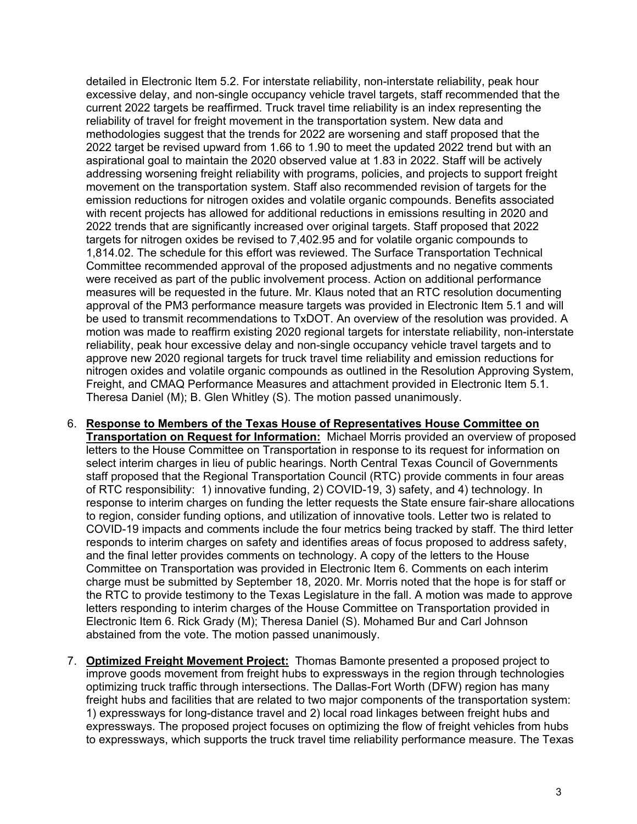detailed in Electronic Item 5.2. For interstate reliability, non-interstate reliability, peak hour excessive delay, and non-single occupancy vehicle travel targets, staff recommended that the current 2022 targets be reaffirmed. Truck travel time reliability is an index representing the reliability of travel for freight movement in the transportation system. New data and methodologies suggest that the trends for 2022 are worsening and staff proposed that the 2022 target be revised upward from 1.66 to 1.90 to meet the updated 2022 trend but with an aspirational goal to maintain the 2020 observed value at 1.83 in 2022. Staff will be actively addressing worsening freight reliability with programs, policies, and projects to support freight movement on the transportation system. Staff also recommended revision of targets for the emission reductions for nitrogen oxides and volatile organic compounds. Benefits associated with recent projects has allowed for additional reductions in emissions resulting in 2020 and 2022 trends that are significantly increased over original targets. Staff proposed that 2022 targets for nitrogen oxides be revised to 7,402.95 and for volatile organic compounds to 1,814.02. The schedule for this effort was reviewed. The Surface Transportation Technical Committee recommended approval of the proposed adjustments and no negative comments were received as part of the public involvement process. Action on additional performance measures will be requested in the future. Mr. Klaus noted that an RTC resolution documenting approval of the PM3 performance measure targets was provided in Electronic Item 5.1 and will be used to transmit recommendations to TxDOT. An overview of the resolution was provided. A motion was made to reaffirm existing 2020 regional targets for interstate reliability, non-interstate reliability, peak hour excessive delay and non-single occupancy vehicle travel targets and to approve new 2020 regional targets for truck travel time reliability and emission reductions for nitrogen oxides and volatile organic compounds as outlined in the Resolution Approving System, Freight, and CMAQ Performance Measures and attachment provided in Electronic Item 5.1. Theresa Daniel (M); B. Glen Whitley (S). The motion passed unanimously.

- 6. **Response to Members of the Texas House of Representatives House Committee on Transportation on Request for Information:** Michael Morris provided an overview of proposed letters to the House Committee on Transportation in response to its request for information on select interim charges in lieu of public hearings. North Central Texas Council of Governments staff proposed that the Regional Transportation Council (RTC) provide comments in four areas of RTC responsibility: 1) innovative funding, 2) COVID-19, 3) safety, and 4) technology. In response to interim charges on funding the letter requests the State ensure fair-share allocations to region, consider funding options, and utilization of innovative tools. Letter two is related to COVID-19 impacts and comments include the four metrics being tracked by staff. The third letter responds to interim charges on safety and identifies areas of focus proposed to address safety, and the final letter provides comments on technology. A copy of the letters to the House Committee on Transportation was provided in Electronic Item 6. Comments on each interim charge must be submitted by September 18, 2020. Mr. Morris noted that the hope is for staff or the RTC to provide testimony to the Texas Legislature in the fall. A motion was made to approve letters responding to interim charges of the House Committee on Transportation provided in Electronic Item 6. Rick Grady (M); Theresa Daniel (S). Mohamed Bur and Carl Johnson abstained from the vote. The motion passed unanimously.
- 7. **Optimized Freight Movement Project:** Thomas Bamonte presented a proposed project to improve goods movement from freight hubs to expressways in the region through technologies optimizing truck traffic through intersections. The Dallas-Fort Worth (DFW) region has many freight hubs and facilities that are related to two major components of the transportation system: 1) expressways for long-distance travel and 2) local road linkages between freight hubs and expressways. The proposed project focuses on optimizing the flow of freight vehicles from hubs to expressways, which supports the truck travel time reliability performance measure. The Texas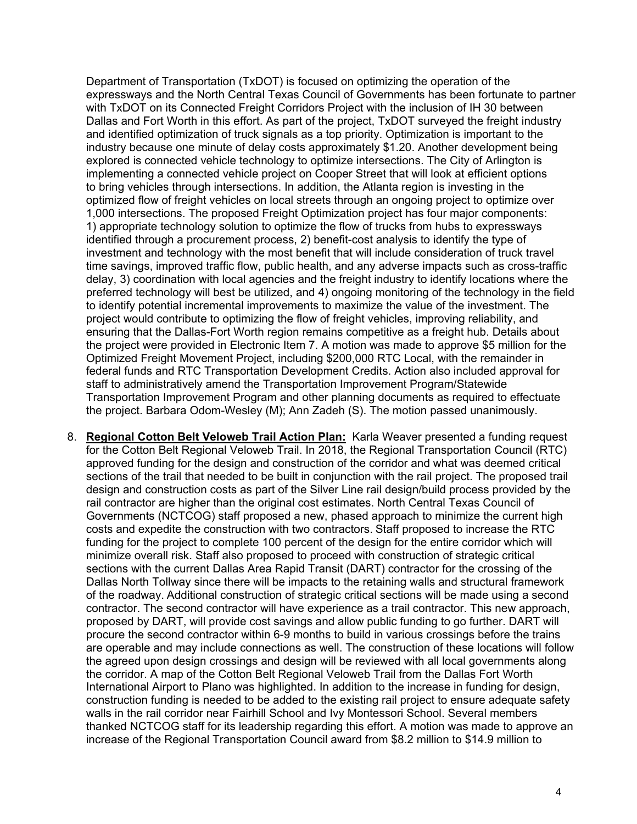Department of Transportation (TxDOT) is focused on optimizing the operation of the expressways and the North Central Texas Council of Governments has been fortunate to partner with TxDOT on its Connected Freight Corridors Project with the inclusion of IH 30 between Dallas and Fort Worth in this effort. As part of the project, TxDOT surveyed the freight industry and identified optimization of truck signals as a top priority. Optimization is important to the industry because one minute of delay costs approximately \$1.20. Another development being explored is connected vehicle technology to optimize intersections. The City of Arlington is implementing a connected vehicle project on Cooper Street that will look at efficient options to bring vehicles through intersections. In addition, the Atlanta region is investing in the optimized flow of freight vehicles on local streets through an ongoing project to optimize over 1,000 intersections. The proposed Freight Optimization project has four major components: 1) appropriate technology solution to optimize the flow of trucks from hubs to expressways identified through a procurement process, 2) benefit-cost analysis to identify the type of investment and technology with the most benefit that will include consideration of truck travel time savings, improved traffic flow, public health, and any adverse impacts such as cross-traffic delay, 3) coordination with local agencies and the freight industry to identify locations where the preferred technology will best be utilized, and 4) ongoing monitoring of the technology in the field to identify potential incremental improvements to maximize the value of the investment. The project would contribute to optimizing the flow of freight vehicles, improving reliability, and ensuring that the Dallas-Fort Worth region remains competitive as a freight hub. Details about the project were provided in Electronic Item 7. A motion was made to approve \$5 million for the Optimized Freight Movement Project, including \$200,000 RTC Local, with the remainder in federal funds and RTC Transportation Development Credits. Action also included approval for staff to administratively amend the Transportation Improvement Program/Statewide Transportation Improvement Program and other planning documents as required to effectuate the project. Barbara Odom-Wesley (M); Ann Zadeh (S). The motion passed unanimously.

8. **Regional Cotton Belt Veloweb Trail Action Plan:** Karla Weaver presented a funding request for the Cotton Belt Regional Veloweb Trail. In 2018, the Regional Transportation Council (RTC) approved funding for the design and construction of the corridor and what was deemed critical sections of the trail that needed to be built in conjunction with the rail project. The proposed trail design and construction costs as part of the Silver Line rail design/build process provided by the rail contractor are higher than the original cost estimates. North Central Texas Council of Governments (NCTCOG) staff proposed a new, phased approach to minimize the current high costs and expedite the construction with two contractors. Staff proposed to increase the RTC funding for the project to complete 100 percent of the design for the entire corridor which will minimize overall risk. Staff also proposed to proceed with construction of strategic critical sections with the current Dallas Area Rapid Transit (DART) contractor for the crossing of the Dallas North Tollway since there will be impacts to the retaining walls and structural framework of the roadway. Additional construction of strategic critical sections will be made using a second contractor. The second contractor will have experience as a trail contractor. This new approach, proposed by DART, will provide cost savings and allow public funding to go further. DART will procure the second contractor within 6-9 months to build in various crossings before the trains are operable and may include connections as well. The construction of these locations will follow the agreed upon design crossings and design will be reviewed with all local governments along the corridor. A map of the Cotton Belt Regional Veloweb Trail from the Dallas Fort Worth International Airport to Plano was highlighted. In addition to the increase in funding for design, construction funding is needed to be added to the existing rail project to ensure adequate safety walls in the rail corridor near Fairhill School and Ivy Montessori School. Several members thanked NCTCOG staff for its leadership regarding this effort. A motion was made to approve an increase of the Regional Transportation Council award from \$8.2 million to \$14.9 million to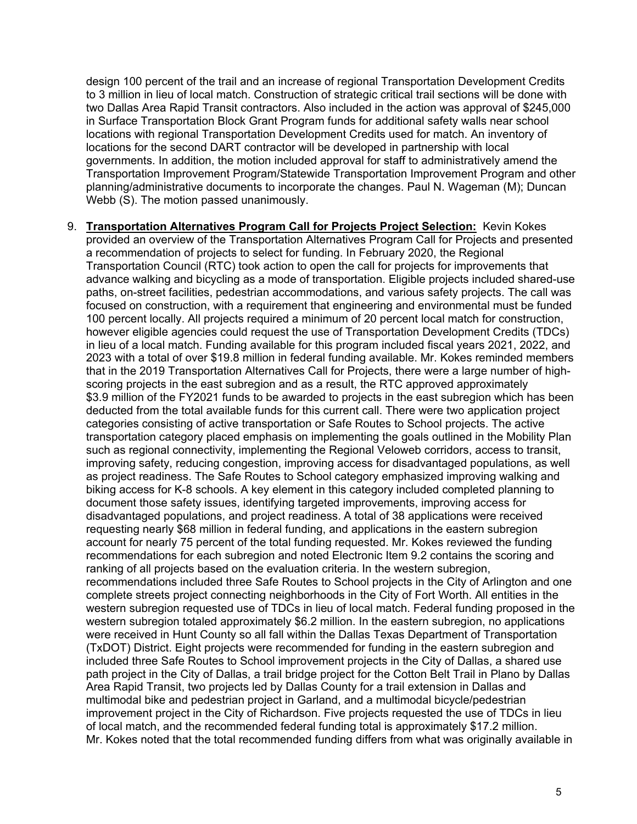design 100 percent of the trail and an increase of regional Transportation Development Credits to 3 million in lieu of local match. Construction of strategic critical trail sections will be done with two Dallas Area Rapid Transit contractors. Also included in the action was approval of \$245,000 in Surface Transportation Block Grant Program funds for additional safety walls near school locations with regional Transportation Development Credits used for match. An inventory of locations for the second DART contractor will be developed in partnership with local governments. In addition, the motion included approval for staff to administratively amend the Transportation Improvement Program/Statewide Transportation Improvement Program and other planning/administrative documents to incorporate the changes. Paul N. Wageman (M); Duncan Webb (S). The motion passed unanimously.

9. **Transportation Alternatives Program Call for Projects Project Selection:** Kevin Kokes provided an overview of the Transportation Alternatives Program Call for Projects and presented a recommendation of projects to select for funding. In February 2020, the Regional Transportation Council (RTC) took action to open the call for projects for improvements that advance walking and bicycling as a mode of transportation. Eligible projects included shared-use paths, on-street facilities, pedestrian accommodations, and various safety projects. The call was focused on construction, with a requirement that engineering and environmental must be funded 100 percent locally. All projects required a minimum of 20 percent local match for construction, however eligible agencies could request the use of Transportation Development Credits (TDCs) in lieu of a local match. Funding available for this program included fiscal years 2021, 2022, and 2023 with a total of over \$19.8 million in federal funding available. Mr. Kokes reminded members that in the 2019 Transportation Alternatives Call for Projects, there were a large number of highscoring projects in the east subregion and as a result, the RTC approved approximately \$3.9 million of the FY2021 funds to be awarded to projects in the east subregion which has been deducted from the total available funds for this current call. There were two application project categories consisting of active transportation or Safe Routes to School projects. The active transportation category placed emphasis on implementing the goals outlined in the Mobility Plan such as regional connectivity, implementing the Regional Veloweb corridors, access to transit, improving safety, reducing congestion, improving access for disadvantaged populations, as well as project readiness. The Safe Routes to School category emphasized improving walking and biking access for K-8 schools. A key element in this category included completed planning to document those safety issues, identifying targeted improvements, improving access for disadvantaged populations, and project readiness. A total of 38 applications were received requesting nearly \$68 million in federal funding, and applications in the eastern subregion account for nearly 75 percent of the total funding requested. Mr. Kokes reviewed the funding recommendations for each subregion and noted Electronic Item 9.2 contains the scoring and ranking of all projects based on the evaluation criteria. In the western subregion, recommendations included three Safe Routes to School projects in the City of Arlington and one complete streets project connecting neighborhoods in the City of Fort Worth. All entities in the western subregion requested use of TDCs in lieu of local match. Federal funding proposed in the western subregion totaled approximately \$6.2 million. In the eastern subregion, no applications were received in Hunt County so all fall within the Dallas Texas Department of Transportation (TxDOT) District. Eight projects were recommended for funding in the eastern subregion and included three Safe Routes to School improvement projects in the City of Dallas, a shared use path project in the City of Dallas, a trail bridge project for the Cotton Belt Trail in Plano by Dallas Area Rapid Transit, two projects led by Dallas County for a trail extension in Dallas and multimodal bike and pedestrian project in Garland, and a multimodal bicycle/pedestrian improvement project in the City of Richardson. Five projects requested the use of TDCs in lieu of local match, and the recommended federal funding total is approximately \$17.2 million. Mr. Kokes noted that the total recommended funding differs from what was originally available in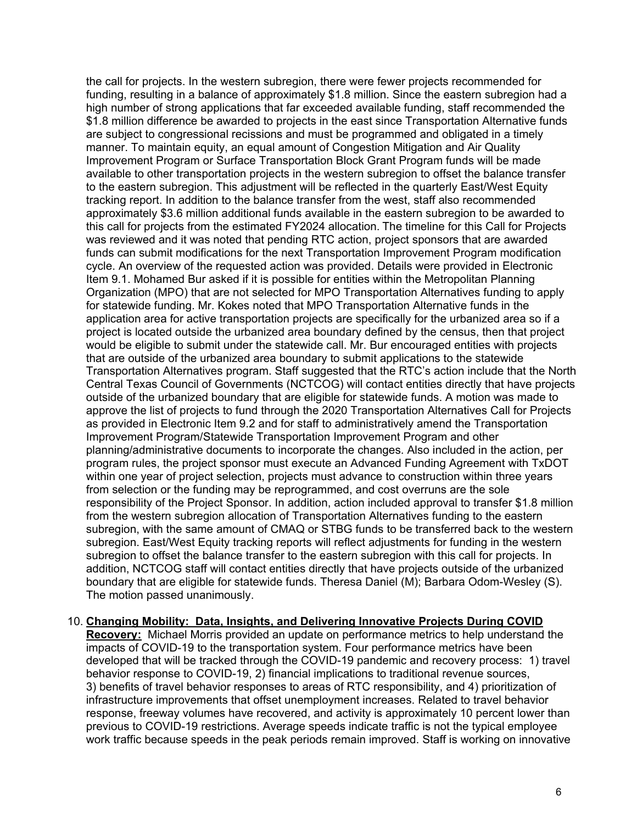the call for projects. In the western subregion, there were fewer projects recommended for funding, resulting in a balance of approximately \$1.8 million. Since the eastern subregion had a high number of strong applications that far exceeded available funding, staff recommended the \$1.8 million difference be awarded to projects in the east since Transportation Alternative funds are subject to congressional recissions and must be programmed and obligated in a timely manner. To maintain equity, an equal amount of Congestion Mitigation and Air Quality Improvement Program or Surface Transportation Block Grant Program funds will be made available to other transportation projects in the western subregion to offset the balance transfer to the eastern subregion. This adjustment will be reflected in the quarterly East/West Equity tracking report. In addition to the balance transfer from the west, staff also recommended approximately \$3.6 million additional funds available in the eastern subregion to be awarded to this call for projects from the estimated FY2024 allocation. The timeline for this Call for Projects was reviewed and it was noted that pending RTC action, project sponsors that are awarded funds can submit modifications for the next Transportation Improvement Program modification cycle. An overview of the requested action was provided. Details were provided in Electronic Item 9.1. Mohamed Bur asked if it is possible for entities within the Metropolitan Planning Organization (MPO) that are not selected for MPO Transportation Alternatives funding to apply for statewide funding. Mr. Kokes noted that MPO Transportation Alternative funds in the application area for active transportation projects are specifically for the urbanized area so if a project is located outside the urbanized area boundary defined by the census, then that project would be eligible to submit under the statewide call. Mr. Bur encouraged entities with projects that are outside of the urbanized area boundary to submit applications to the statewide Transportation Alternatives program. Staff suggested that the RTC's action include that the North Central Texas Council of Governments (NCTCOG) will contact entities directly that have projects outside of the urbanized boundary that are eligible for statewide funds. A motion was made to approve the list of projects to fund through the 2020 Transportation Alternatives Call for Projects as provided in Electronic Item 9.2 and for staff to administratively amend the Transportation Improvement Program/Statewide Transportation Improvement Program and other planning/administrative documents to incorporate the changes. Also included in the action, per program rules, the project sponsor must execute an Advanced Funding Agreement with TxDOT within one year of project selection, projects must advance to construction within three years from selection or the funding may be reprogrammed, and cost overruns are the sole responsibility of the Project Sponsor. In addition, action included approval to transfer \$1.8 million from the western subregion allocation of Transportation Alternatives funding to the eastern subregion, with the same amount of CMAQ or STBG funds to be transferred back to the western subregion. East/West Equity tracking reports will reflect adjustments for funding in the western subregion to offset the balance transfer to the eastern subregion with this call for projects. In addition, NCTCOG staff will contact entities directly that have projects outside of the urbanized boundary that are eligible for statewide funds. Theresa Daniel (M); Barbara Odom-Wesley (S). The motion passed unanimously.

## 10. **Changing Mobility: Data, Insights, and Delivering Innovative Projects During COVID**

**Recovery:** Michael Morris provided an update on performance metrics to help understand the impacts of COVID-19 to the transportation system. Four performance metrics have been developed that will be tracked through the COVID-19 pandemic and recovery process: 1) travel behavior response to COVID-19, 2) financial implications to traditional revenue sources, 3) benefits of travel behavior responses to areas of RTC responsibility, and 4) prioritization of infrastructure improvements that offset unemployment increases. Related to travel behavior response, freeway volumes have recovered, and activity is approximately 10 percent lower than previous to COVID-19 restrictions. Average speeds indicate traffic is not the typical employee work traffic because speeds in the peak periods remain improved. Staff is working on innovative